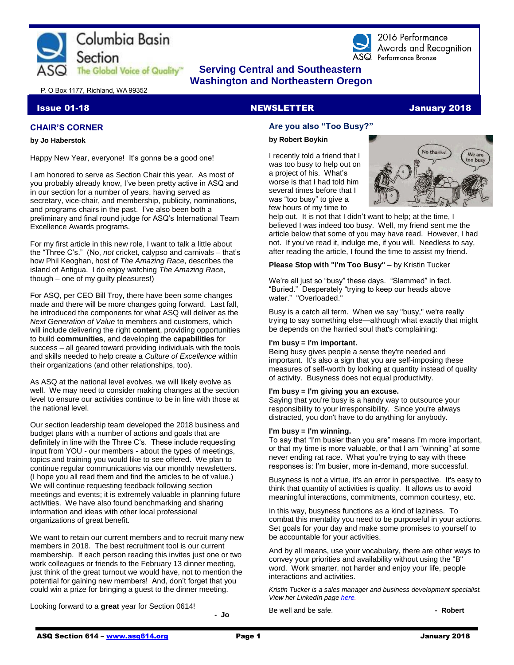



2016 Performance Awards and Recognition ASQ Performance Bronze

### **The Global Voice of Quality"** Serving Central and Southeastern  **Washington and Northeastern Oregon**

P. O Box 1177, Richland, WA 99352

#### **CHAIR'S CORNER**

#### **by Jo Haberstok**

Happy New Year, everyone! It's gonna be a good one!

I am honored to serve as Section Chair this year. As most of you probably already know, I've been pretty active in ASQ and in our section for a number of years, having served as secretary, vice-chair, and membership, publicity, nominations, and programs chairs in the past. I've also been both a preliminary and final round judge for ASQ's International Team Excellence Awards programs.

For my first article in this new role, I want to talk a little about the "Three C's." (No, *not* cricket, calypso and carnivals – that's how Phil Keoghan, host of *The Amazing Race*, describes the island of Antigua. I do enjoy watching *The Amazing Race*, though – one of my guilty pleasures!)

For ASQ, per CEO Bill Troy, there have been some changes made and there will be more changes going forward. Last fall, he introduced the components for what ASQ will deliver as the *Next Generation of Value* to members and customers, which will include delivering the right **content**, providing opportunities to build **communities**, and developing the **capabilities** for success – all geared toward providing individuals with the tools and skills needed to help create a *Culture of Excellence* within their organizations (and other relationships, too).

As ASQ at the national level evolves, we will likely evolve as well. We may need to consider making changes at the section level to ensure our activities continue to be in line with those at the national level.

Our section leadership team developed the 2018 business and budget plans with a number of actions and goals that are definitely in line with the Three C's. These include requesting input from YOU - our members - about the types of meetings, topics and training you would like to see offered. We plan to continue regular communications via our monthly newsletters. (I hope you all read them and find the articles to be of value.) We will continue requesting feedback following section meetings and events; it is extremely valuable in planning future activities. We have also found benchmarking and sharing information and ideas with other local professional organizations of great benefit.

We want to retain our current members and to recruit many new members in 2018. The best recruitment tool is our current membership. If each person reading this invites just one or two work colleagues or friends to the February 13 dinner meeting, just think of the great turnout we would have, not to mention the potential for gaining new members! And, don't forget that you could win a prize for bringing a guest to the dinner meeting.

Looking forward to a **great** year for Section 0614!

**- Jo**

## **Issue 01-18** NEWSLETTER **NEWSLETTER In the U.S. And All 2018** ISSUE 2018

#### **Are you also "Too Busy?"**

#### **by Robert Boykin**

I recently told a friend that I was too busy to help out on a project of his. What's worse is that I had told him several times before that I was "too busy" to give a few hours of my time to



help out. It is not that I didn't want to help; at the time, I believed I was indeed too busy. Well, my friend sent me the article below that some of you may have read. However, I had not. If you've read it, indulge me, if you will. Needless to say, after reading the article, I found the time to assist my friend.

#### **Please Stop with "I'm Too Busy"** – by Kristin Tucker

We're all just so "busy" these days. "Slammed" in fact. "Buried." Desperately "trying to keep our heads above water." "Overloaded."

Busy is a catch all term. When we say "busy," we're really trying to say something else—although what exactly that might be depends on the harried soul that's complaining:

#### **I'm busy = I'm important.**

Being busy gives people a sense they're needed and important. It's also a sign that you are self-imposing these measures of self-worth by looking at quantity instead of quality of activity. Busyness does not equal productivity.

#### **I'm busy = I'm giving you an excuse.**

Saying that you're busy is a handy way to outsource your responsibility to your irresponsibility. Since you're always distracted, you don't have to do anything for anybody.

#### **I'm busy = I'm winning.**

To say that "I'm busier than you are" means I'm more important, or that my time is more valuable, or that I am "winning" at some never ending rat race. What you're trying to say with these responses is: I'm busier, more in-demand, more successful.

Busyness is not a virtue, it's an error in perspective. It's easy to think that quantity of activities is quality. It allows us to avoid meaningful interactions, commitments, common courtesy, etc.

In this way, busyness functions as a kind of laziness. To combat this mentality you need to be purposeful in your actions. Set goals for your day and make some promises to yourself to be accountable for your activities.

And by all means, use your vocabulary, there are other ways to convey your priorities and availability without using the "B" word. Work smarter, not harder and enjoy your life, people interactions and activities.

*Kristin Tucker is a sales manager and business development specialist. View her LinkedIn page [here.](https://www.linkedin.com/in/kristin-tucker-3349b9/)*

Be well and be safe. **and he safe. - Robert**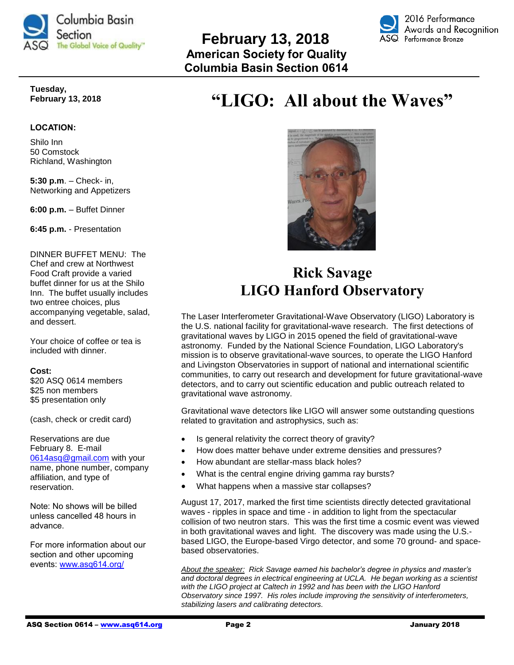

### **February 13, 2018 American Society for Quality Columbia Basin Section 0614**



**Tuesday, February 13, 2018**

#### **LOCATION:**

Shilo Inn 50 Comstock Richland, Washington

**5:30 p.m**. – Check- in, Networking and Appetizers

**6:00 p.m.** – Buffet Dinner

**6:45 p.m.** - Presentation

DINNER BUFFET MENU: The Chef and crew at Northwest Food Craft provide a varied buffet dinner for us at the Shilo Inn. The buffet usually includes two entree choices, plus accompanying vegetable, salad, and dessert.

Your choice of coffee or tea is included with dinner.

#### **Cost:**

\$20 ASQ 0614 members \$25 non members \$5 presentation only

(cash, check or credit card)

Reservations are due February 8. E-mail [0614asq@gmail.com](mailto:0614asq@gmail.com) with your name, phone number, company affiliation, and type of reservation.

Note: No shows will be billed unless cancelled 48 hours in advance.

For more information about our section and other upcoming events: [www.asq614.org/](http://www.asq614.org/)

# **"LIGO: All about the Waves"**



## **Rick Savage LIGO Hanford Observatory**

The Laser Interferometer Gravitational-Wave Observatory (LIGO) Laboratory is the U.S. national facility for gravitational-wave research. The first detections of gravitational waves by LIGO in 2015 opened the field of gravitational-wave astronomy. Funded by the National Science Foundation, LIGO Laboratory's mission is to observe gravitational-wave sources, to operate the LIGO Hanford and Livingston Observatories in support of national and international scientific communities, to carry out research and development for future gravitational-wave detectors, and to carry out scientific education and public outreach related to gravitational wave astronomy.

Gravitational wave detectors like LIGO will answer some outstanding questions related to gravitation and astrophysics, such as:

- Is general relativity the correct theory of gravity?
- How does matter behave under extreme densities and pressures?
- How abundant are stellar-mass black holes?
- What is the central engine driving gamma ray bursts?
- What happens when a massive star collapses?

August 17, 2017, marked the first time scientists directly detected gravitational waves - ripples in space and time - in addition to light from the spectacular collision of two neutron stars. This was the first time a cosmic event was viewed in both gravitational waves and light. The discovery was made using the U.S. based LIGO, the Europe-based Virgo detector, and some 70 ground- and spacebased observatories.

*About the speaker: Rick Savage earned his bachelor's degree in physics and master's and doctoral degrees in electrical engineering at UCLA. He began working as a scientist with the LIGO project at Caltech in 1992 and has been with the LIGO Hanford Observatory since 1997. His roles include improving the sensitivity of interferometers, stabilizing lasers and calibrating detectors.*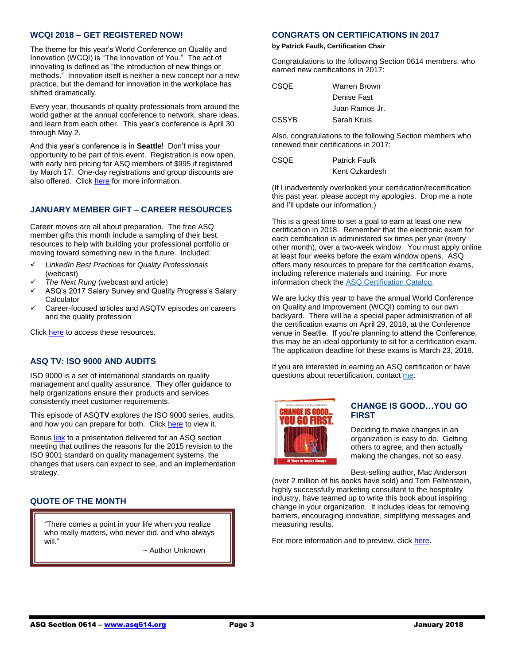#### **WCQI 2018 – GET REGISTERED NOW!**

The theme for this year's World Conference on Quality and Innovation (WCQI) is "The Innovation of You." The act of innovating is defined as "the introduction of new things or methods." Innovation itself is neither a new concept nor a new practice, but the demand for innovation in the workplace has shifted dramatically.

Every year, thousands of quality professionals from around the world gather at the annual conference to network, share ideas, and learn from each other. This year's conference is April 30 through May 2.

And this year's conference is in **Seattle**! Don't miss your opportunity to be part of this event. Registration is now open, with early bird pricing for ASQ members of \$995 if registered by March 17. One-day registrations and group discounts are also offered. Clic[k here](https://asq.org/conferences/wcqi) for more information.

#### **JANUARY MEMBER GIFT – CAREER RESOURCES**

Career moves are all about preparation. The free ASQ member gifts this month include a sampling of their best resources to help with building your professional portfolio or moving toward something new in the future. Included:

- *LinkedIn Best Practices for Quality Professionals* (webcast)
- *The Next Rung* (webcast and article)
- ASQ's 2017 Salary Survey and Quality Progress's Salary **Calculator**
- Career-focused articles and ASQTV episodes on careers and the quality profession

Click [here](http://asq.org/members/leaders/2017/12/january-member-gift-preview.pdf?utm_source=email) to access these resources.

#### **ASQ TV: ISO 9000 AND AUDITS**

ISO 9000 is a set of international standards on quality management and quality assurance. They offer guidance to help organizations ensure their products and services consistently meet customer requirements.

This episode of ASQ**TV** explores the ISO 9000 series, audits, and how you can prepare for both. Click [here](http://videos.asq.org/iso-9000-and-audits?utm_campaign=communications%5Finsider%20%5F01102018&asq.org/?utm_source=email&utm_medium=email) to view it.

Bonus **link** to a presentation delivered for an ASQ section meeting that outlines the reasons for the 2015 revision to the ISO 9001 standard on quality management systems, the changes that users can expect to see, and an implementation strategy.

#### **QUOTE OF THE MONTH**

l, I

"There comes a point in your life when you realize who really matters, who never did, and who always will."

~ Author Unknown

#### **CONGRATS ON CERTIFICATIONS IN 2017**

#### **by Patrick Faulk, Certification Chair**

Congratulations to the following Section 0614 members, who earned new certifications in 2017:

| CSOE         | Warren Brown   |  |
|--------------|----------------|--|
|              | Denise Fast    |  |
|              | Juan Ramos Jr. |  |
| <b>CSSYB</b> | Sarah Kruis    |  |
|              |                |  |

Also, congratulations to the following Section members who renewed their certifications in 2017:

| <b>CSQE</b> | <b>Patrick Faulk</b> |
|-------------|----------------------|
|             | Kent Ozkardesh       |

(If I inadvertently overlooked your certification/recertification this past year, please accept my apologies. Drop me a note and I'll update our information.)

This is a great time to set a goal to earn at least one new certification in 2018. Remember that the electronic exam for each certification is administered six times per year (every other month), over a two-week window. You must apply online at least four weeks before the exam window opens. ASQ offers many resources to prepare for the certification exams, including reference materials and training. For more information check the [ASQ Certification Catalog.](https://asq.org/cert/catalog)

We are lucky this year to have the annual World Conference on Quality and Improvement (WCQI) coming to our own backyard. There will be a special paper administration of all the certification exams on April 29, 2018, at the Conference venue in Seattle. If you're planning to attend the Conference, this may be an ideal opportunity to sit for a certification exam. The application deadline for these exams is March 23, 2018.

If you are interested in earning an ASQ certification or have questions about recertification, contact [me.](mailto:prfaulk@bechtel.com)



#### **CHANGE IS GOOD…YOU GO FIRST**

Deciding to make changes in an organization is easy to do. Getting others to agree, and then actually making the changes, not so easy.

Best-selling author, Mac Anderson

(over 2 million of his books have sold) and Tom Feltenstein, highly successfully marketing consultant to the hospitality industry, have teamed up to write this book about inspiring change in your organization. It includes ideas for removing barriers, encouraging innovation, simplifying messages and measuring results.

For more information and to preview, click [here.](http://www.walkthetalk.com/change-is-goodyou-go-first.html)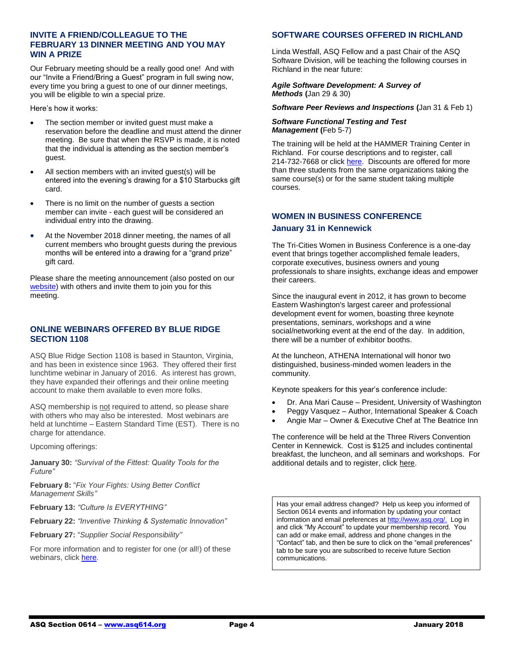#### **INVITE A FRIEND/COLLEAGUE TO THE FEBRUARY 13 DINNER MEETING AND YOU MAY WIN A PRIZE**

Our February meeting should be a really good one! And with our "Invite a Friend/Bring a Guest" program in full swing now, every time you bring a guest to one of our dinner meetings, you will be eligible to win a special prize.

Here's how it works:

- The section member or invited guest must make a reservation before the deadline and must attend the dinner meeting. Be sure that when the RSVP is made, it is noted that the individual is attending as the section member's guest.
- All section members with an invited guest(s) will be entered into the evening's drawing for a \$10 Starbucks gift card.
- There is no limit on the number of guests a section member can invite - each guest will be considered an individual entry into the drawing.
- At the November 2018 dinner meeting, the names of all current members who brought guests during the previous months will be entered into a drawing for a "grand prize" gift card.

Please share the meeting announcement (also posted on our [website\)](http://www.asq614.org/programs/program1802.pdf) with others and invite them to join you for this meeting.

#### **ONLINE WEBINARS OFFERED BY BLUE RIDGE SECTION 1108**

ASQ Blue Ridge Section 1108 is based in Staunton, Virginia, and has been in existence since 1963. They offered their first lunchtime webinar in January of 2016. As interest has grown, they have expanded their offerings and their online meeting account to make them available to even more folks.

ASQ membership is not required to attend, so please share with others who may also be interested. Most webinars are held at lunchtime – Eastern Standard Time (EST). There is no charge for attendance.

Upcoming offerings:

**January 30:** *"Survival of the Fittest: Quality Tools for the Future"*

**February 8:** "*Fix Your Fights: Using Better Conflict Management Skills"*

**February 13:** *"Culture Is EVERYTHING"*

**February 22:** *"Inventive Thinking & Systematic Innovation"*

**February 27:** "*Supplier Social Responsibility"*

For more information and to register for one (or all!) of these webinars, click [here.](http://www.blueridgeasq1108.org/upcoming-events/)

#### **SOFTWARE COURSES OFFERED IN RICHLAND**

Linda Westfall, ASQ Fellow and a past Chair of the ASQ Software Division, will be teaching the following courses in Richland in the near future:

#### *Agile Software Development: A Survey of Methods* **(**Jan 29 & 30)

*Software Peer Reviews and Inspections* **(**Jan 31 & Feb 1)

#### *Software Functional Testing and Test Management* **(**Feb 5-7)

The training will be held at the HAMMER Training Center in Richland. For course descriptions and to register, call 214-732-7668 or click [here.](http://www.westfallteam.com/node/129) Discounts are offered for more than three students from the same organizations taking the same course(s) or for the same student taking multiple courses.

#### **WOMEN IN BUSINESS CONFERENCE**

#### **January 31 in Kennewick**

The Tri-Cities Women in Business Conference is a one-day event that brings together accomplished female leaders, corporate executives, business owners and young professionals to share insights, exchange ideas and empower their careers.

Since the inaugural event in 2012, it has grown to become Eastern Washington's largest career and professional development event for women, boasting three keynote presentations, seminars, workshops and a wine social/networking event at the end of the day. In addition, there will be a number of exhibitor booths.

At the luncheon, ATHENA International will honor two distinguished, business-minded women leaders in the community.

Keynote speakers for this year's conference include:

- Dr. Ana Mari Cause President, University of Washington
- Peggy Vasquez Author, International Speaker & Coach
- Angie Mar Owner & Executive Chef at The Beatrice Inn

The conference will be held at the Three Rivers Convention Center in Kennewick. Cost is \$125 and includes continental breakfast, the luncheon, and all seminars and workshops. For additional details and to register, click [here.](http://www.tricityregionalchamber.com/women-in-business-conference.html)

Has your email address changed? Help us keep you informed of Section 0614 events and information by updating your contact information and email preferences a[t http://www.asq.org/.](http://www.asq.org/) Log in and click "My Account" to update your membership record. You can add or make email, address and phone changes in the "Contact" tab, and then be sure to click on the "email preferences" tab to be sure you are subscribed to receive future Section communications.